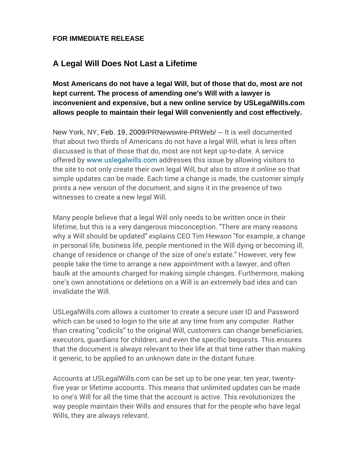## **FOR IMMEDIATE RELEASE**

## **A Legal Will Does Not Last a Lifetime**

**Most Americans do not have a legal Will, but of those that do, most are not kept current. The process of amending one's Will with a lawyer is inconvenient and expensive, but a new online service by USLegalWills.com allows people to maintain their legal Will conveniently and cost effectively.**

New York, NY, Feb. 19, 2009/PRNewswire-PRWeb/ -- It is well documented that about two thirds of Americans do not have a legal Will, what is less often discussed is that of those that do, most are not kept up-to-date. A service offered by [www.uslegalwills.com](https://www.uslegalwills.com/) addresses this issue by allowing visitors to the site to not only create their own legal Will, but also to store it online so that simple updates can be made. Each time a change is made, the customer simply prints a new version of the document, and signs it in the presence of two witnesses to create a new legal Will.

Many people believe that a legal Will only needs to be written once in their lifetime, but this is a very dangerous misconception. "There are many reasons why a Will should be updated" explains CEO Tim Hewson "for example, a change in personal life, business life, people mentioned in the Will dying or becoming ill, change of residence or change of the size of one's estate." However, very few people take the time to arrange a new appointment with a lawyer, and often baulk at the amounts charged for making simple changes. Furthermore, making one's own annotations or deletions on a Will is an extremely bad idea and can invalidate the Will.

USLegalWills.com allows a customer to create a secure user ID and Password which can be used to login to the site at any time from any computer. Rather than creating "codicils" to the original Will, customers can change beneficiaries, executors, guardians for children, and even the specific bequests. This ensures that the document is always relevant to their life at that time rather than making it generic, to be applied to an unknown date in the distant future.

Accounts at USLegalWills.com can be set up to be one year, ten year, twentyfive year or lifetime accounts. This means that unlimited updates can be made to one's Will for all the time that the account is active. This revolutionizes the way people maintain their Wills and ensures that for the people who have legal Wills, they are always relevant.